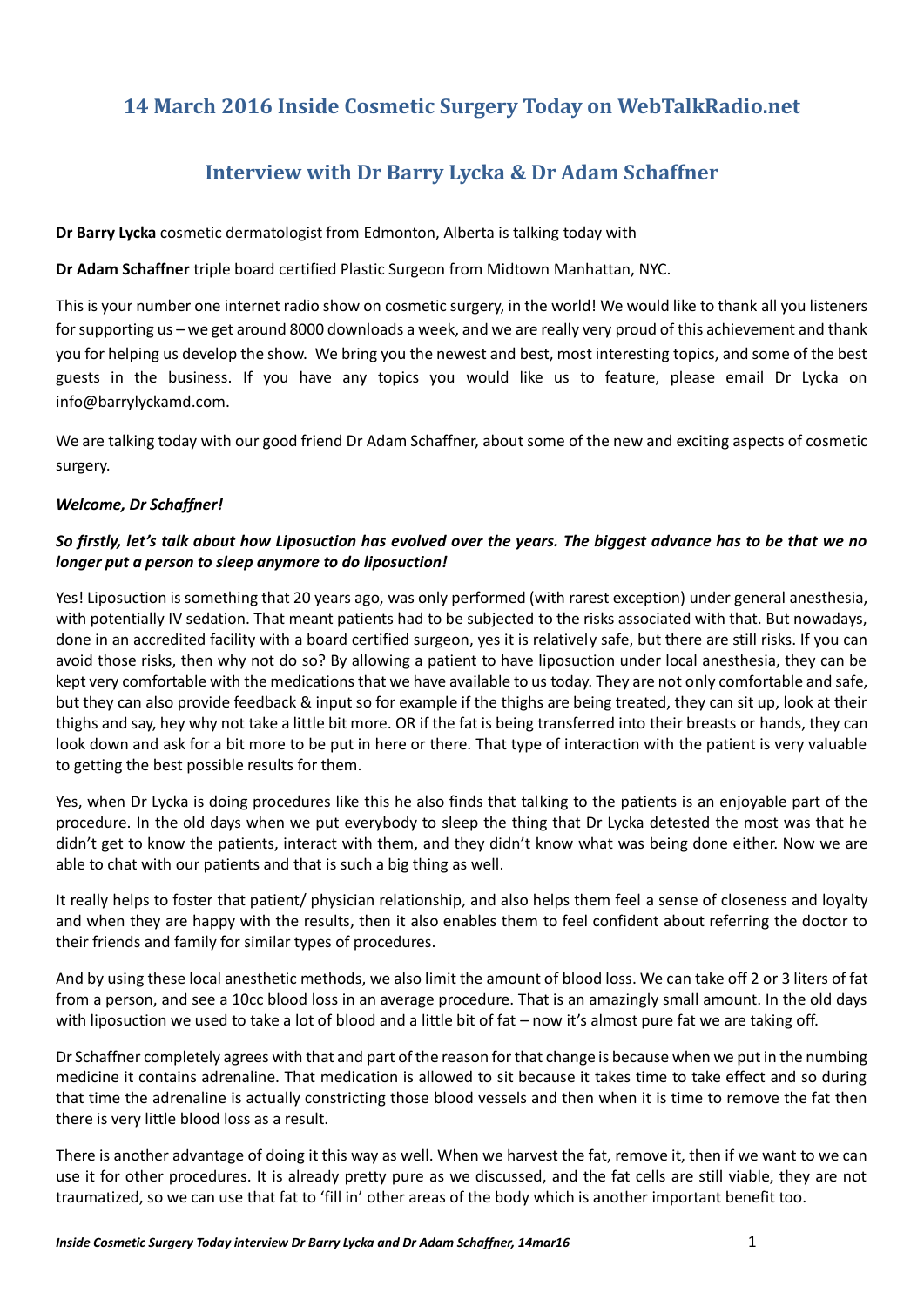# **14 March 2016 Inside Cosmetic Surgery Today on WebTalkRadio.net**

# **Interview with Dr Barry Lycka & Dr Adam Schaffner**

**Dr Barry Lycka** cosmetic dermatologist from Edmonton, Alberta is talking today with

**Dr Adam Schaffner** triple board certified Plastic Surgeon from Midtown Manhattan, NYC.

This is your number one internet radio show on cosmetic surgery, in the world! We would like to thank all you listeners for supporting us – we get around 8000 downloads a week, and we are really very proud of this achievement and thank you for helping us develop the show. We bring you the newest and best, most interesting topics, and some of the best guests in the business. If you have any topics you would like us to feature, please email Dr Lycka on info@barrylyckamd.com.

We are talking today with our good friend Dr Adam Schaffner, about some of the new and exciting aspects of cosmetic surgery.

#### *Welcome, Dr Schaffner!*

## *So firstly, let's talk about how Liposuction has evolved over the years. The biggest advance has to be that we no longer put a person to sleep anymore to do liposuction!*

Yes! Liposuction is something that 20 years ago, was only performed (with rarest exception) under general anesthesia, with potentially IV sedation. That meant patients had to be subjected to the risks associated with that. But nowadays, done in an accredited facility with a board certified surgeon, yes it is relatively safe, but there are still risks. If you can avoid those risks, then why not do so? By allowing a patient to have liposuction under local anesthesia, they can be kept very comfortable with the medications that we have available to us today. They are not only comfortable and safe, but they can also provide feedback & input so for example if the thighs are being treated, they can sit up, look at their thighs and say, hey why not take a little bit more. OR if the fat is being transferred into their breasts or hands, they can look down and ask for a bit more to be put in here or there. That type of interaction with the patient is very valuable to getting the best possible results for them.

Yes, when Dr Lycka is doing procedures like this he also finds that talking to the patients is an enjoyable part of the procedure. In the old days when we put everybody to sleep the thing that Dr Lycka detested the most was that he didn't get to know the patients, interact with them, and they didn't know what was being done either. Now we are able to chat with our patients and that is such a big thing as well.

It really helps to foster that patient/ physician relationship, and also helps them feel a sense of closeness and loyalty and when they are happy with the results, then it also enables them to feel confident about referring the doctor to their friends and family for similar types of procedures.

And by using these local anesthetic methods, we also limit the amount of blood loss. We can take off 2 or 3 liters of fat from a person, and see a 10cc blood loss in an average procedure. That is an amazingly small amount. In the old days with liposuction we used to take a lot of blood and a little bit of fat – now it's almost pure fat we are taking off.

Dr Schaffner completely agrees with that and part of the reason for that change is because when we put in the numbing medicine it contains adrenaline. That medication is allowed to sit because it takes time to take effect and so during that time the adrenaline is actually constricting those blood vessels and then when it is time to remove the fat then there is very little blood loss as a result.

There is another advantage of doing it this way as well. When we harvest the fat, remove it, then if we want to we can use it for other procedures. It is already pretty pure as we discussed, and the fat cells are still viable, they are not traumatized, so we can use that fat to 'fill in' other areas of the body which is another important benefit too.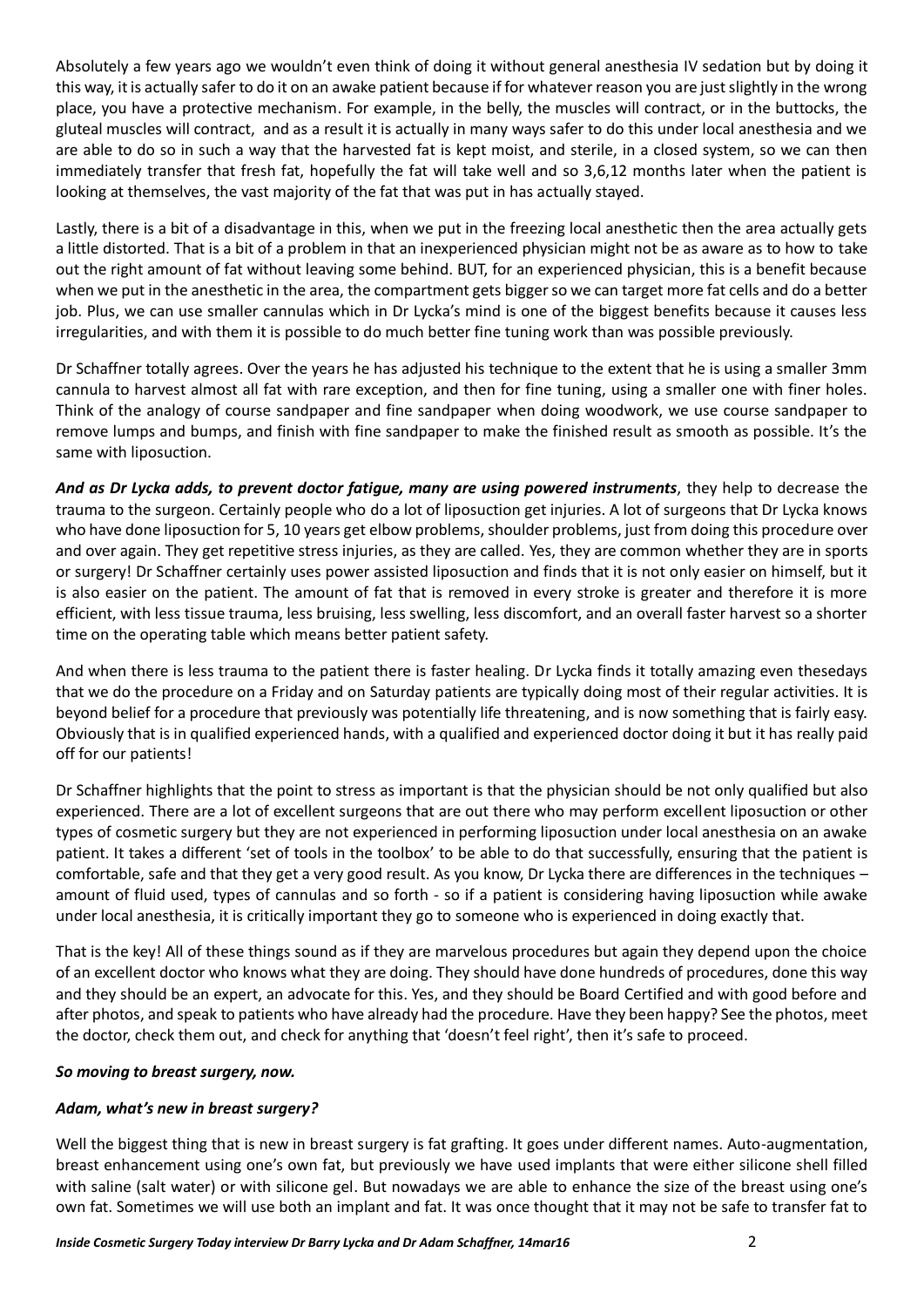Absolutely a few years ago we wouldn't even think of doing it without general anesthesia IV sedation but by doing it this way, it is actually safer to do it on an awake patient because if for whatever reason you are just slightly in the wrong place, you have a protective mechanism. For example, in the belly, the muscles will contract, or in the buttocks, the gluteal muscles will contract, and as a result it is actually in many ways safer to do this under local anesthesia and we are able to do so in such a way that the harvested fat is kept moist, and sterile, in a closed system, so we can then immediately transfer that fresh fat, hopefully the fat will take well and so 3,6,12 months later when the patient is looking at themselves, the vast majority of the fat that was put in has actually stayed.

Lastly, there is a bit of a disadvantage in this, when we put in the freezing local anesthetic then the area actually gets a little distorted. That is a bit of a problem in that an inexperienced physician might not be as aware as to how to take out the right amount of fat without leaving some behind. BUT, for an experienced physician, this is a benefit because when we put in the anesthetic in the area, the compartment gets bigger so we can target more fat cells and do a better job. Plus, we can use smaller cannulas which in Dr Lycka's mind is one of the biggest benefits because it causes less irregularities, and with them it is possible to do much better fine tuning work than was possible previously.

Dr Schaffner totally agrees. Over the years he has adjusted his technique to the extent that he is using a smaller 3mm cannula to harvest almost all fat with rare exception, and then for fine tuning, using a smaller one with finer holes. Think of the analogy of course sandpaper and fine sandpaper when doing woodwork, we use course sandpaper to remove lumps and bumps, and finish with fine sandpaper to make the finished result as smooth as possible. It's the same with liposuction.

*And as Dr Lycka adds, to prevent doctor fatigue, many are using powered instruments*, they help to decrease the trauma to the surgeon. Certainly people who do a lot of liposuction get injuries. A lot of surgeons that Dr Lycka knows who have done liposuction for 5, 10 years get elbow problems, shoulder problems, just from doing this procedure over and over again. They get repetitive stress injuries, as they are called. Yes, they are common whether they are in sports or surgery! Dr Schaffner certainly uses power assisted liposuction and finds that it is not only easier on himself, but it is also easier on the patient. The amount of fat that is removed in every stroke is greater and therefore it is more efficient, with less tissue trauma, less bruising, less swelling, less discomfort, and an overall faster harvest so a shorter time on the operating table which means better patient safety.

And when there is less trauma to the patient there is faster healing. Dr Lycka finds it totally amazing even thesedays that we do the procedure on a Friday and on Saturday patients are typically doing most of their regular activities. It is beyond belief for a procedure that previously was potentially life threatening, and is now something that is fairly easy. Obviously that is in qualified experienced hands, with a qualified and experienced doctor doing it but it has really paid off for our patients!

Dr Schaffner highlights that the point to stress as important is that the physician should be not only qualified but also experienced. There are a lot of excellent surgeons that are out there who may perform excellent liposuction or other types of cosmetic surgery but they are not experienced in performing liposuction under local anesthesia on an awake patient. It takes a different 'set of tools in the toolbox' to be able to do that successfully, ensuring that the patient is comfortable, safe and that they get a very good result. As you know, Dr Lycka there are differences in the techniques – amount of fluid used, types of cannulas and so forth - so if a patient is considering having liposuction while awake under local anesthesia, it is critically important they go to someone who is experienced in doing exactly that.

That is the key! All of these things sound as if they are marvelous procedures but again they depend upon the choice of an excellent doctor who knows what they are doing. They should have done hundreds of procedures, done this way and they should be an expert, an advocate for this. Yes, and they should be Board Certified and with good before and after photos, and speak to patients who have already had the procedure. Have they been happy? See the photos, meet the doctor, check them out, and check for anything that 'doesn't feel right', then it's safe to proceed.

## *So moving to breast surgery, now.*

## *Adam, what's new in breast surgery?*

Well the biggest thing that is new in breast surgery is fat grafting. It goes under different names. Auto-augmentation, breast enhancement using one's own fat, but previously we have used implants that were either silicone shell filled with saline (salt water) or with silicone gel. But nowadays we are able to enhance the size of the breast using one's own fat. Sometimes we will use both an implant and fat. It was once thought that it may not be safe to transfer fat to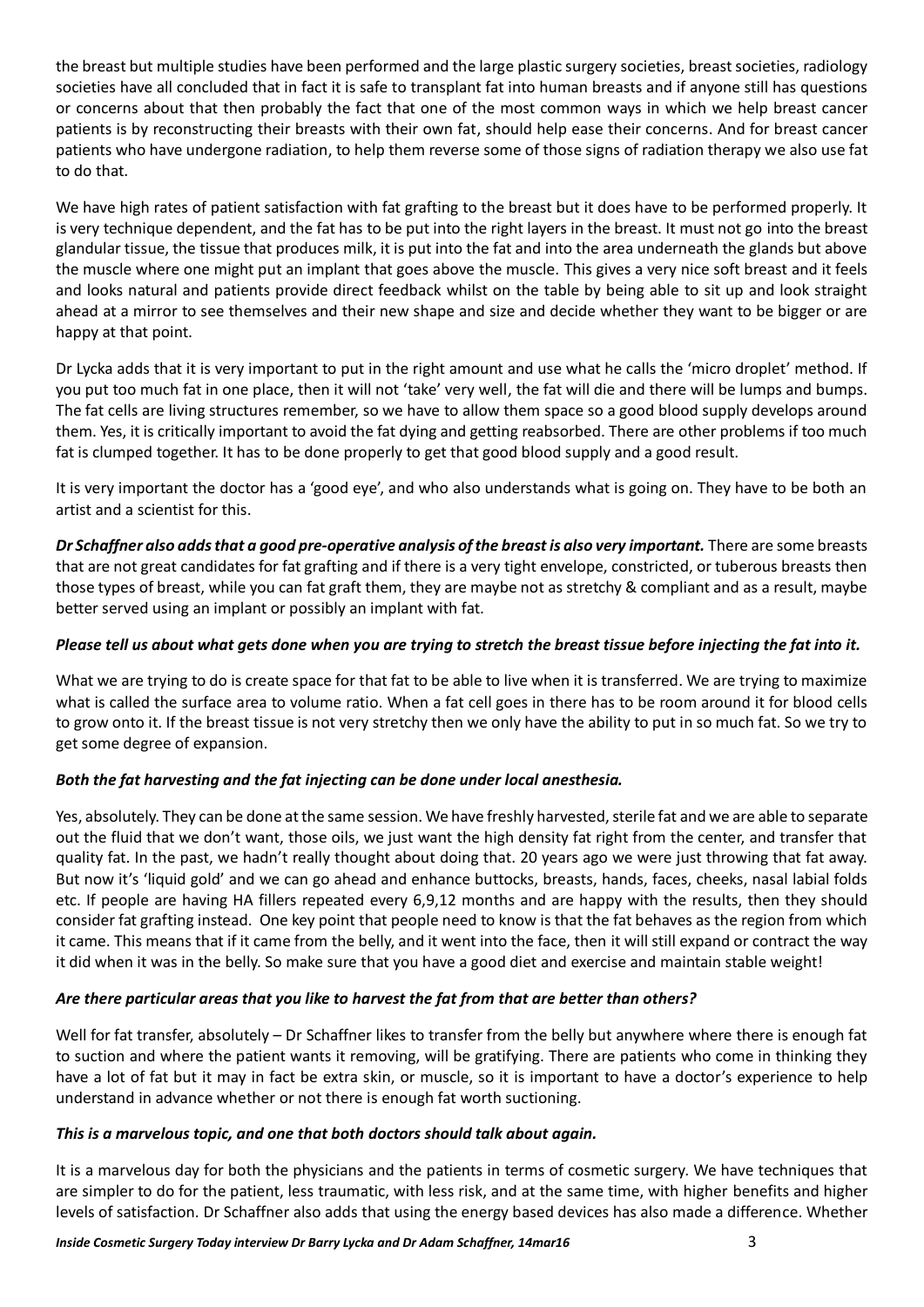the breast but multiple studies have been performed and the large plastic surgery societies, breast societies, radiology societies have all concluded that in fact it is safe to transplant fat into human breasts and if anyone still has questions or concerns about that then probably the fact that one of the most common ways in which we help breast cancer patients is by reconstructing their breasts with their own fat, should help ease their concerns. And for breast cancer patients who have undergone radiation, to help them reverse some of those signs of radiation therapy we also use fat to do that.

We have high rates of patient satisfaction with fat grafting to the breast but it does have to be performed properly. It is very technique dependent, and the fat has to be put into the right layers in the breast. It must not go into the breast glandular tissue, the tissue that produces milk, it is put into the fat and into the area underneath the glands but above the muscle where one might put an implant that goes above the muscle. This gives a very nice soft breast and it feels and looks natural and patients provide direct feedback whilst on the table by being able to sit up and look straight ahead at a mirror to see themselves and their new shape and size and decide whether they want to be bigger or are happy at that point.

Dr Lycka adds that it is very important to put in the right amount and use what he calls the 'micro droplet' method. If you put too much fat in one place, then it will not 'take' very well, the fat will die and there will be lumps and bumps. The fat cells are living structures remember, so we have to allow them space so a good blood supply develops around them. Yes, it is critically important to avoid the fat dying and getting reabsorbed. There are other problems if too much fat is clumped together. It has to be done properly to get that good blood supply and a good result.

It is very important the doctor has a 'good eye', and who also understands what is going on. They have to be both an artist and a scientist for this.

*Dr Schaffner also adds that a good pre-operative analysis of the breast is also very important.* There are some breasts that are not great candidates for fat grafting and if there is a very tight envelope, constricted, or tuberous breasts then those types of breast, while you can fat graft them, they are maybe not as stretchy & compliant and as a result, maybe better served using an implant or possibly an implant with fat.

## *Please tell us about what gets done when you are trying to stretch the breast tissue before injecting the fat into it.*

What we are trying to do is create space for that fat to be able to live when it is transferred. We are trying to maximize what is called the surface area to volume ratio. When a fat cell goes in there has to be room around it for blood cells to grow onto it. If the breast tissue is not very stretchy then we only have the ability to put in so much fat. So we try to get some degree of expansion.

## *Both the fat harvesting and the fat injecting can be done under local anesthesia.*

Yes, absolutely. They can be done at the same session. We have freshly harvested, sterile fat and we are able to separate out the fluid that we don't want, those oils, we just want the high density fat right from the center, and transfer that quality fat. In the past, we hadn't really thought about doing that. 20 years ago we were just throwing that fat away. But now it's 'liquid gold' and we can go ahead and enhance buttocks, breasts, hands, faces, cheeks, nasal labial folds etc. If people are having HA fillers repeated every 6,9,12 months and are happy with the results, then they should consider fat grafting instead. One key point that people need to know is that the fat behaves as the region from which it came. This means that if it came from the belly, and it went into the face, then it will still expand or contract the way it did when it was in the belly. So make sure that you have a good diet and exercise and maintain stable weight!

## *Are there particular areas that you like to harvest the fat from that are better than others?*

Well for fat transfer, absolutely – Dr Schaffner likes to transfer from the belly but anywhere where there is enough fat to suction and where the patient wants it removing, will be gratifying. There are patients who come in thinking they have a lot of fat but it may in fact be extra skin, or muscle, so it is important to have a doctor's experience to help understand in advance whether or not there is enough fat worth suctioning.

#### *This is a marvelous topic, and one that both doctors should talk about again.*

It is a marvelous day for both the physicians and the patients in terms of cosmetic surgery. We have techniques that are simpler to do for the patient, less traumatic, with less risk, and at the same time, with higher benefits and higher levels of satisfaction. Dr Schaffner also adds that using the energy based devices has also made a difference. Whether